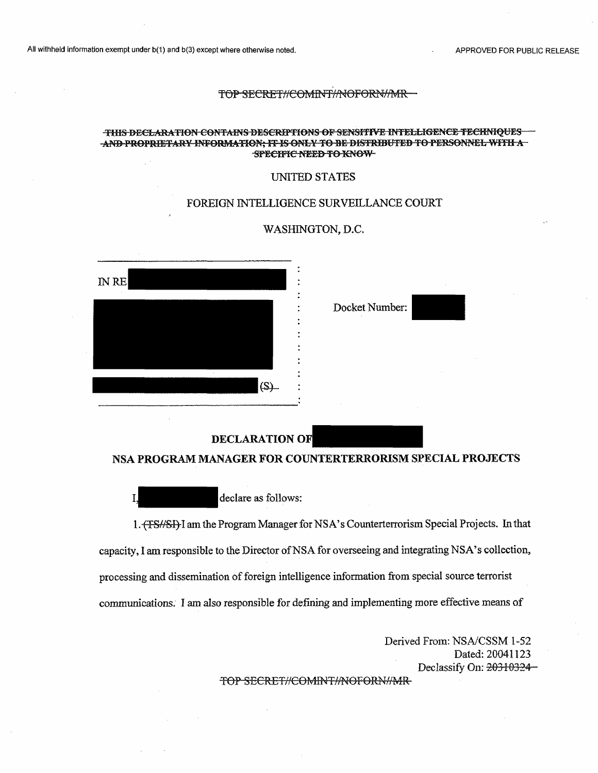# THIS DECLARATION CONTAINS DESCRIPTIONS OF SENSITIVE INTELLIGENCE TECHNIQUES AND PROPRIETARY INFORMATION; IT IS ONLY TO BE DISTRIBUTED TO PERSONNEL WITH A FRIEL ASSECTED TO A THE CITTLE A

### UNITED STATES

### FOREIGN INTELLIGENCE SURVEILLANCE COURT

### WASHINGTON, D.C.



Docket Number:

### **DECLARATION OF**

### **NSA PROGRAM MANAGER FOR COUNTERTERRORISM SPECIAL PROJECTS**

declare as follows:

1. (FS#SI)-I am the Program Manager for NSA's Counterterrorism Special Projects. In that capacity, I am responsible to the Director of NSA for overseeing and integrating NSA's collection, processing and dissemination of foreign intelligence information from special source terrorist communications. I am also responsible for defining and implementing more effective means of

> Derived From: NSA/CSSM 1-52 Dated: 20041123 Declassify On: 20310324-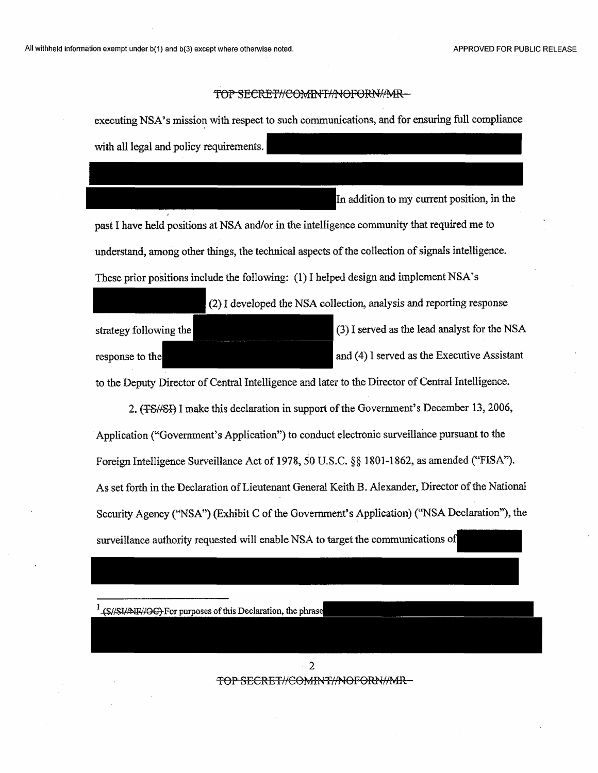executing NSA's mission with respect to such communications, and for ensuring full compliance with all legal and policy requirements.

In addition to my current position, in the past I have held positions at NSA and/or in the intelligence community that required me to understand, among other things, the technical aspects of the collection of signals intelligence. These prior positions include the following: (1) I helped design and implement NSA's

strategy following the response to the *(2)* I developed the NSA collection, analysis and reporting response (3) I served asthe lead analyst for the NSA and (4) I served as the Executive Assistant

to the Deputy Director of Central Intelligence and later to the Director of Central Intelligence.

2. (TS//SI) I make this declaration in support of the Government's December 13, 2006, Application ("Government's Application") to conduct electronic surveillance pursuant to the Foreign Intelligence Surveillance Act of 1978, 50 U.S.C. §§ 1801-1862, as amended ("FISA"). As set forth in the Declaration of Lieutenant General Keith B. Alexander, Director of the National Security Agency ("NSA") (Exhibit C of the Government's Application) ("NSA Declaration"), the surveillance authority requested will enable NSA to target the communications of

<sup>1</sup> (S//SI//NF//OC) For purposes of this Declaration, the phrase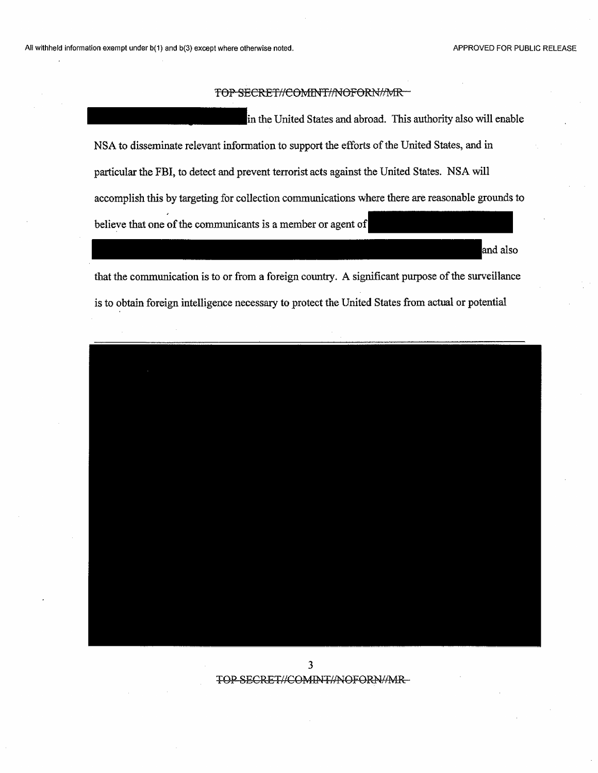in the United States and abroad. This authority also will enable NSA to disseminate relevant information to support the efforts of the United States, and in particular the FBI, to detect and prevent terrorist acts against the United States. NSA will accomplish this by targeting for collection communications where there are reasonable grounds to believe that one of the communicants is a member or agent of

and also

that the communication is to or from a foreign country. A significant purpose of the surveillance is to obtain foreign intelligence necessary to protect the United States from actual or potential

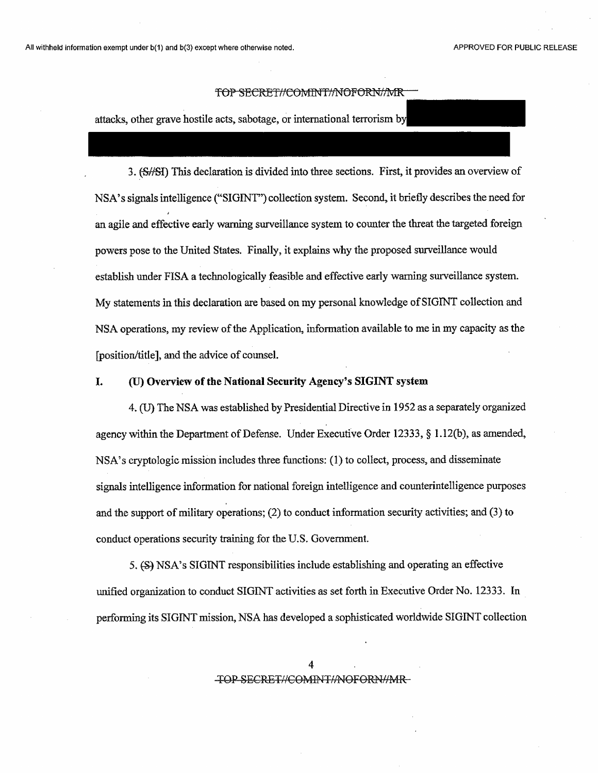attacks, other grave hostile acts, sabotage, or international terrorism by|

3. (S/SI) This declaration is divided into three sections. First, it provides an overview of NSA'ssignals intelligence ("SIGINT") collection system. Second, it briefly describes the need for an agile and effective early warning surveillance system to counter the threat the targeted foreign powers pose to the United States. Finally, it explains why the proposed surveillance would establish under FISA a technologically feasible and effective early warning surveillance system. My statements in this declaration are based on my personal knowledge of SIGINT collection and NSA operations, my review of the Application, information available to me in my capacity as the [position/title], and the advice of counsel.

### **I. (U) Overview ofthe National Security Agency's SIGINT system**

4. (U) The NSA was established by Presidential Directive in 1952 as a separately organized agency within the Department of Defense. Under Executive Order 12333,  $\S$  1.12(b), as amended, NSA's cryptologic mission includes three functions: (1) to collect, process, and disseminate signals intelligence information for national foreign intelligence and counterintelligence purposes and the support of military operations;  $(2)$  to conduct information security activities; and  $(3)$  to conduct operations security training for the U.S. Government.

5. (S) NSA's SIGINT responsibilities include establishing and operating an effective unified organization to conduct SIGINT activities as set forth in Executive Order No. 12333. In performing its SIGINT mission, NSA has developed a sophisticated worldwide SIGINT collection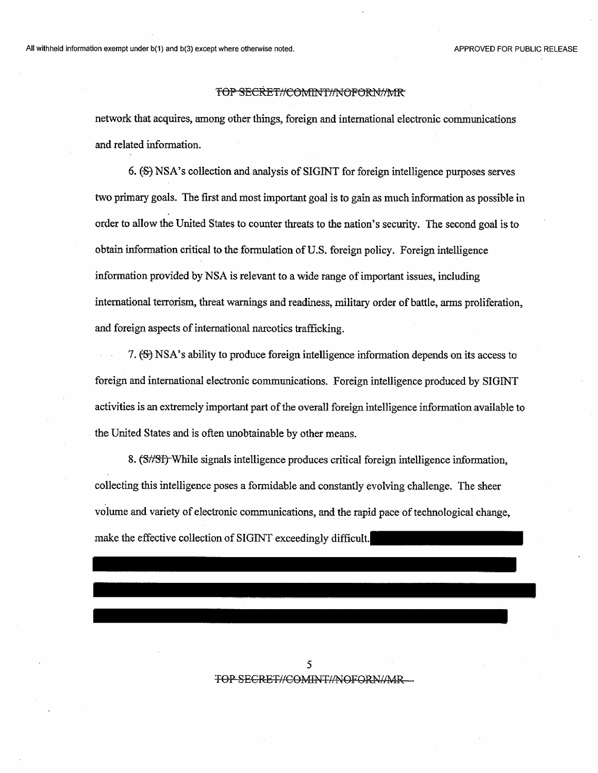network that acquires, among other things, foreign and international electronic communications and related information.

6. (S) NSA's collection and analysis of SIGINT for foreign intelligence purposes serves two primary goals. The first and most important goal is to gain as much information as possible in order to allow the United States to counter threats to the nation's security. The second goal is to obtain information critical to the formulation of U.S. foreign policy. Foreign intelligence information provided by NSA is relevant to a wide range ofimportant issues, including international terrorism, threat warnings and readiness, military order of battle, arms proliferation, and foreign aspects of international narcotics trafficking.

7. (S) NSA's ability to produce foreign intelligence information depends on its access to foreign and international electronic communications. Foreign intelligence produced by SIGINT activities is an extremely important part of the overall foreign intelligence information available to the United States and is often unobtainable by other means.

8. (S//Sf) While signals intelligence produces critical foreign intelligence information, collecting this intelligence poses a formidable and constantly evolving challenge. The sheer volume and variety of electronic communications, and the rapid pace of technological change, make the effective collection of SIGINT exceedingly difficult.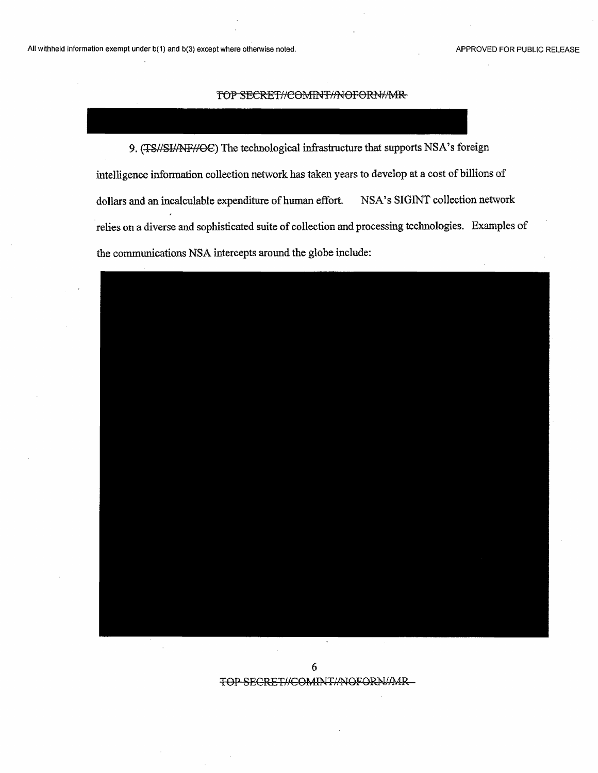9. (TS//SI//NF//OC) The technological infrastructure that supports NSA's foreign intelligence information collection network has taken years to develop at a cost of billions of dollars and an incalculable expenditure of human effort. NSA's SIGINT collection network relies on a diverse and sophisticated suite of collection and processing technologies. Examples of the communications NSA intercepts around the globe include:

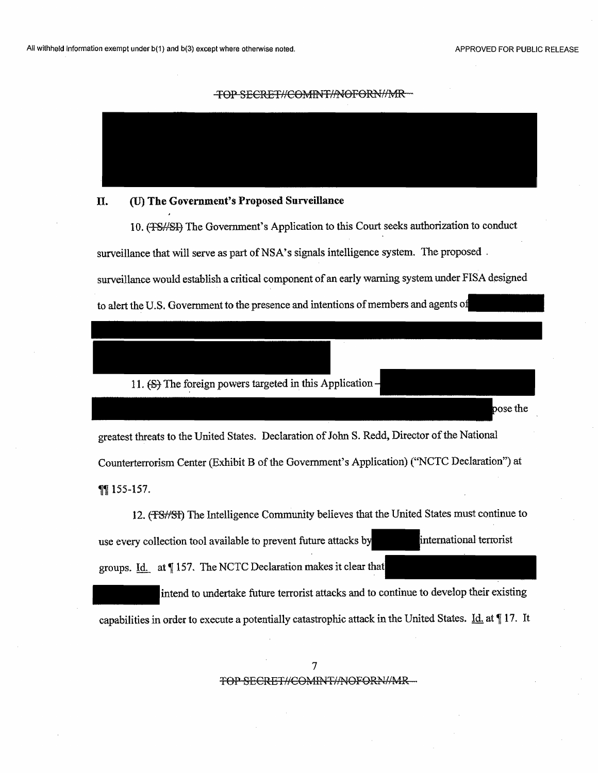osethe

#### TOP SECRET//COMINT//NOFORN//MR



### **IL (U) The Government's Proposed Surveillance**

10. (T8//SI-} The Government's Application to this Court seeks authorization to conduct surveillance that will serve as part of NSA's signals intelligence system. The proposed. surveillance would establish a critical component of an early warning system under FISA designed to alert the U.S. Government to the presence and intentions of members and agents of

### 11. (S) The foreign powers targeted in this Application -

greatest threats to the United States. Declaration of John S. Redd, Director of the National Counterterrorism Center (Exhibit B of the Government's Application) ("NCTC Declaration") at **1155-157.** 

12. (TSHSI) The Intelligence Community believes that the United States must continue to use every collection tooi available to prevent future attacks by groups. Id. at  $\P$ 157. The NCTC Declaration makes it clear that international terrorist

intend to undertake future terrorist attacks and to continue to develop their existing capabilities in order to execute a potentially catastrophic attack in the United States. *Id.* at 17. It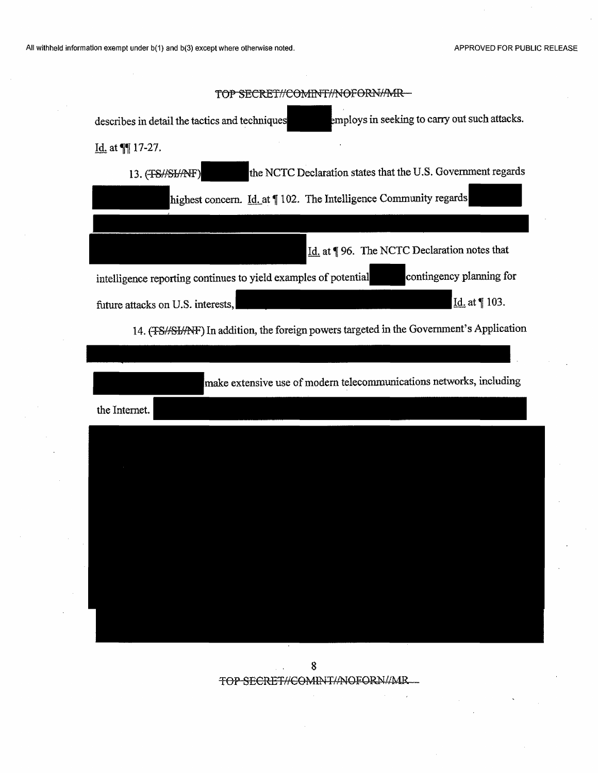| TOP SECRET//COMINT//NOFORN/MR-                                                                  |
|-------------------------------------------------------------------------------------------------|
| employs in seeking to carry out such attacks.<br>describes in detail the tactics and techniques |
| Id. at $\P$ 17-27.                                                                              |
| the NCTC Declaration states that the U.S. Government regards<br>13. (TS//SI/AVF)                |
| highest concern. <i>Id.</i> at 102. The Intelligence Community regards                          |
|                                                                                                 |
| Id. at   96. The NCTC Declaration notes that                                                    |
| contingency planning for<br>intelligence reporting continues to yield examples of potential     |
| Id. at 103.<br>future attacks on U.S. interests,                                                |
| 14. (FS//SI/AFF) In addition, the foreign powers targeted in the Government's Application       |
|                                                                                                 |
| make extensive use of modern telecommunications networks, including                             |
| the Internet.                                                                                   |
|                                                                                                 |
|                                                                                                 |
|                                                                                                 |
|                                                                                                 |
|                                                                                                 |
|                                                                                                 |
|                                                                                                 |
|                                                                                                 |
|                                                                                                 |
|                                                                                                 |

# $$\tt 8$$  TOP SECRET//COMINT/ANOFORN//MR\_  $\mu$  ,  $\mu$  .

 $\overline{\phantom{a}}$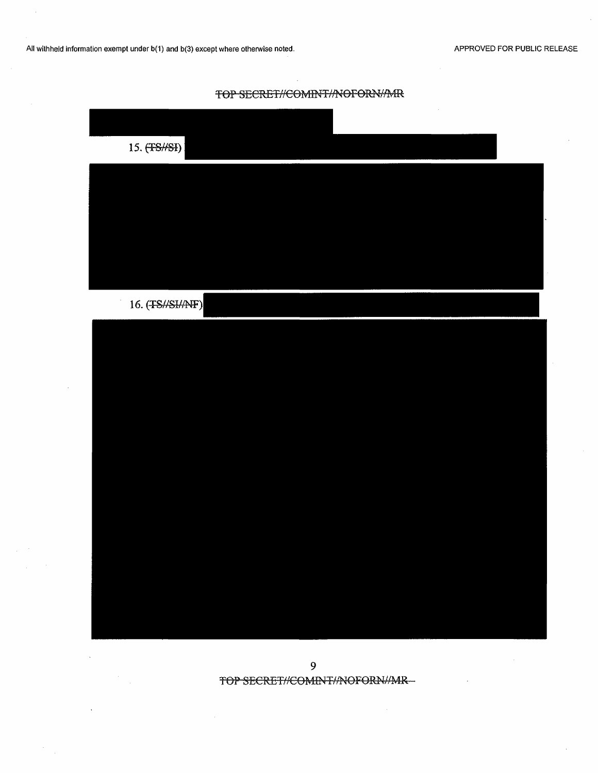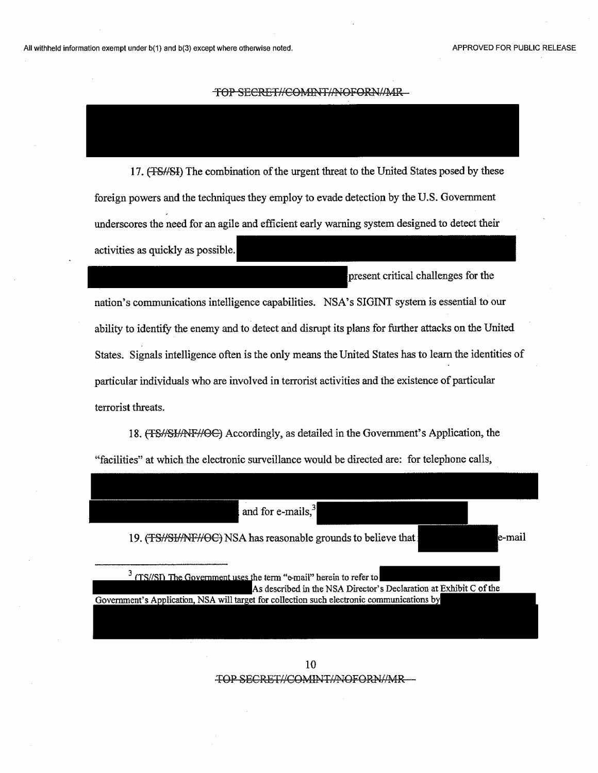17. (FS//SI) The combination of the urgent threat to the United States posed by these foreign powers and the techniques they employ to evade detection by the U.S. Government underscores the need for an agile and efficient early warning system designed to detect their activities as quickly as possible.

present critical challenges for the

nation's communications intelligence capabilities. NSA's SIGINT system is essential to our ability to identify the enemy and to detect and disrupt its plans for further attacks on the United States. Signals intelligence often is the only means the United States has to learn the identities of particular individuals who are involved in terrorist activities and the existence of particular terrorist threats.

18. (TS//SI//NF//OC) Accordingly, as detailed in the Government's Application, the "facilities" at which the electronic surveillance would be directed are: for telephone calls,

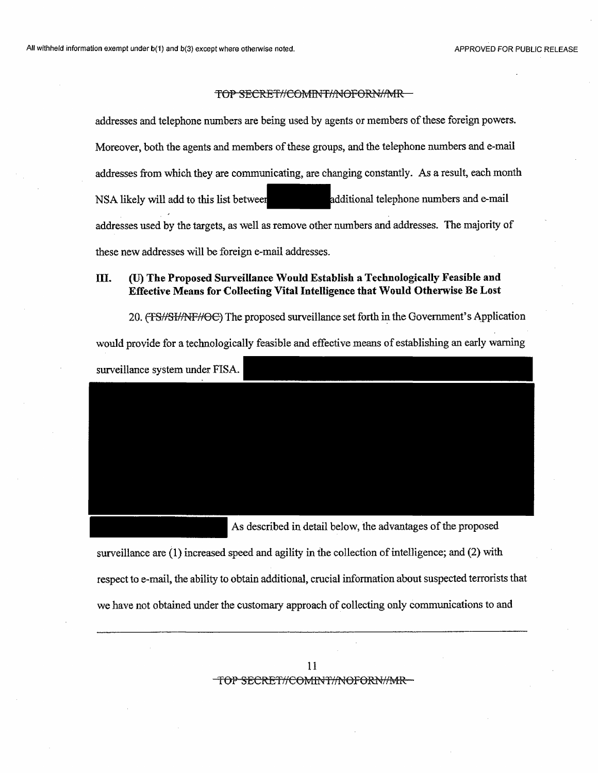addresses and telephone numbers are being used by agents or members of these foreign powers. Moreover, both the agents and members of these groups, and the telephone numbers and e-mail addresses from which they are communicating, are changing constantly. As a result, each month NSA likely will add to this list between additional telephone numbers and e-mail addresses used by the targets, as well as remove other numbers and addresses. The majority of these new addresses will be foreign e-mail addresses.

### **III. (U) The Proposed Surveillance Would Establish a Technologically Feasible and Effective Means for Collecting Vital Intelligence that Would Otherwise Be Lost**

20. (TS//SI/NF//OC) The proposed surveillance set forth in the Government's Application would provide for a technologically feasible and effective means of establishing an early warning surveillance system under FISA.

As described in detail below, the advantages of the proposed

surveillance are (1) increased speed and agility in the collection of intelligence; and (2) with respect to e-mail, the ability to obtain additional, crucial information about suspected terroriststhat we have not obtained under the customary approach of collecting only communications to and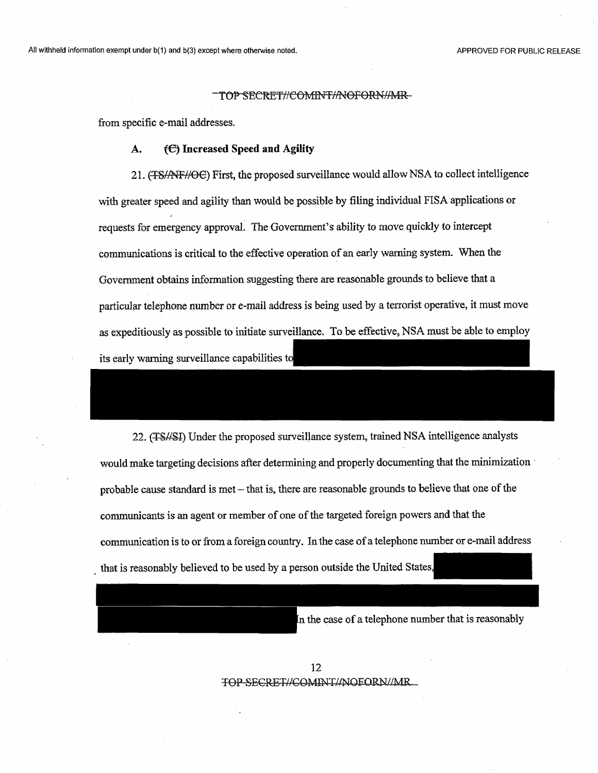from specific e-mail addresses.

### **A. (6) Increased Speed and Agility**

21. (<del>TS//NF//OC</del>) First, the proposed surveillance would allow NSA to collect intelligence with greater speed and agility than would be possible by filing individual FISA applications or requests for emergency approval. The Government's ability to move quickly to intercept communications is critical to the effective operation of an early warning system. When the Government obtains information suggesting there are reasonable grounds to believe that a particular telephone number or e-mail address is being used by a terrorist operative, it must move as expeditiously as possible to initiate surveillance. To be effective, NSA must be able to employ its early warning surveillance capabilities

22. (T-S//S4) Under the proposed surveillance system, trained NSA intelligence analysts would make targeting decisions after determining and properly documenting that the minimization probable cause standard is met-that is, there are reasonable grounds to believe that one ofthe communicants is an agent or member of one ofthe targeted foreign powers and that the communication is to or from a foreign country. In the case of a telephone number or e-mail address that is reasonably believed to be used by a person outside the United States,

In the case of a telephone number that is reasonably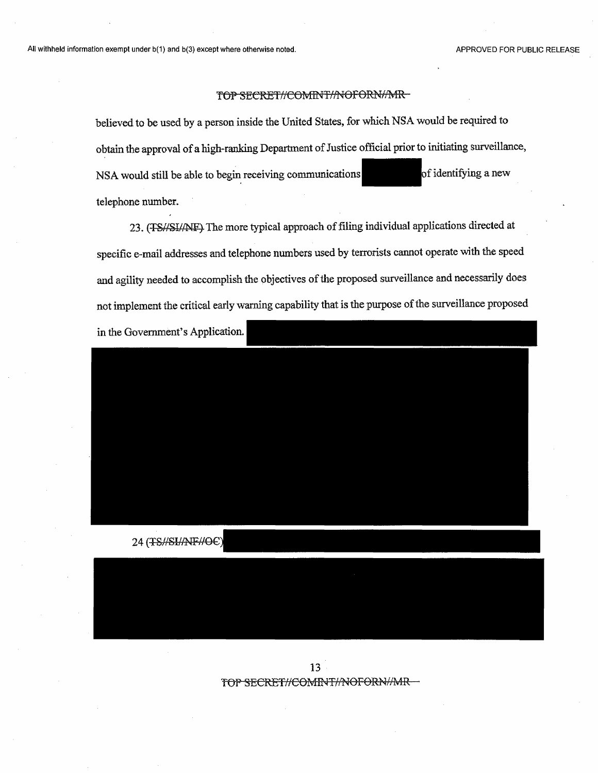believed to be used by a person inside the United States, for which NSA would be required to obtain the approval of a high-ranking Department of Justice official prior to initiating surveillance, NSA would still be able to begin receiving communications of identifying a new telephone number.

23. (TS//SI//NF) The more typical approach of filing individual applications directed at specific e-mail addresses and telephone numbers used by terrorists cannot operate with the speed and agility needed to accomplish the objectives of the proposed surveillance and necessarily does not implement the critical early warning capability that is the purpose of the surveillance proposed in the Government's Application.



24 (TS#SHANF#O6

13TOP SECRET//COMINT//NOFORN//MR-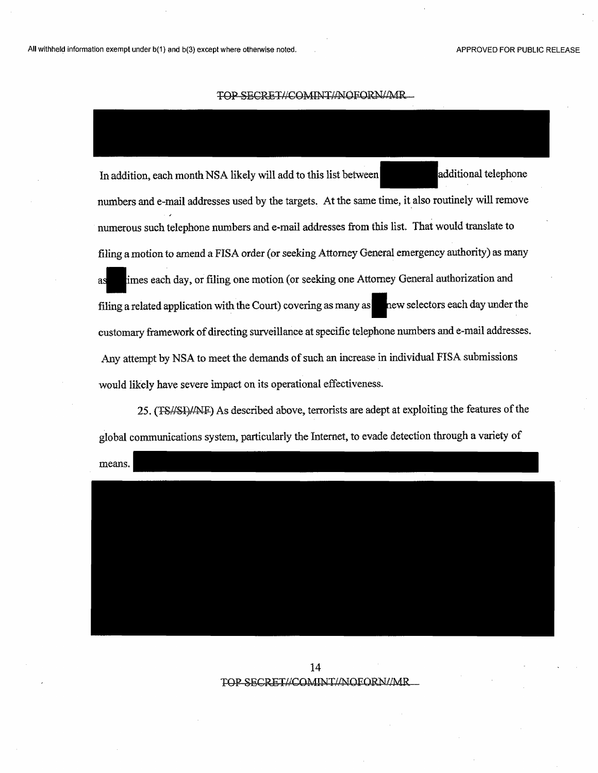In addition, each month NSA likely will add to this list between additional telephone numbers and e-mail addresses used by the targets. At the same time, it also routinely will remove numerous such telephone numbers and e-mail addresses from this list. That would translate to filing a motion to amend a FISA order (or seeking Attorney General emergency authority) as many imes each day, or filing one motion (or seeking one Attorney General authorization and as imes each day, or filing one motion (or seeking one Attorney General authorization and<br>filing a related application with the Court) covering as many as new selectors each day under the customary framework of directing surveillance at specific telephone numbers and e-mail addresses. Any attempt by NSA to meet the demands of such an increase in individual FISA submissions would likely have severe impact on its operational effectiveness.

25. (TS//SI)//NF) As described above, terrorists are adept at exploiting the features of the global communications system, particularly the Internet, to evade detection through a variety of

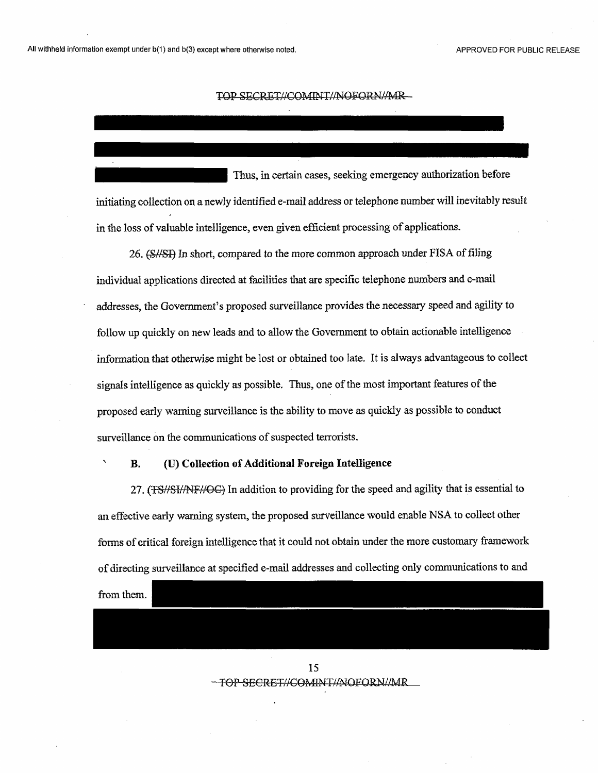**'**

#### TOP SECRET//COMINT//NOFORN/AMR

Thus, in certain cases, seeking emergency authorization before initiating collection on a newly identified e-mail address or telephone number will inevitably result in the loss of valuable intelligence, even given efficient processing of applications.

26. (S//SI) In short, compared to the more common approach under FISA of filing individual applications directed at facilities that are specific telephone numbers and e-mail addresses, the Government's proposed surveillance provides the necessary speed and agility to follow up quickly on new leads and to allow the Government to obtain actionable intelligence information that otherwise might be lost or obtained too late. It is always advantageous to collect signals intelligence as quickly as possible. Thus, one of the most important features of the proposed early warning surveillance is the ability to move as quickly as possible to conduct surveillance on the communications of suspected terrorists.

#### **B. (U) Collection ofAdditional Foreign Intelligence**

27. (TS//SI//NF//OC) In addition to providing for the speed and agility that is essential to an effective early warning system, the proposed surveillance would enable NSA to collect other forms of critical foreign intelligence that it could not obtain under the more customary framework of directing surveillance at specified e-mail addresses and collecting only communications to and

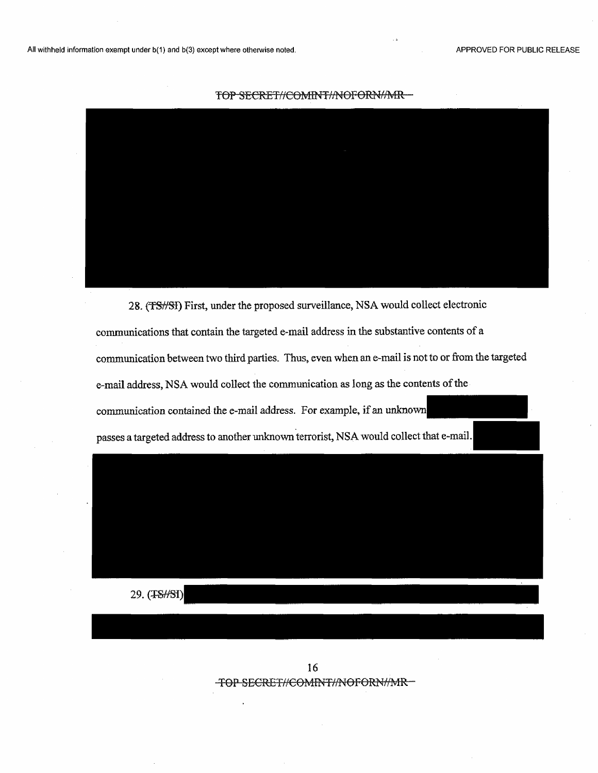

28. (FSf/Sl) First, under the proposed surveillance, NSA would collect electronic communications that contain the targeted e-mail address in the substantive contents of a communication between two third parties. Thus, even when an e-mail is not to or from the targeted e-mail address, NSA would collect the communication as long as the contents of the communication contained the e-mail address. For example, if an unknown passes a targeted address to another unknown terrorist, NSA would collect that e-mail.

29. (TSHSI)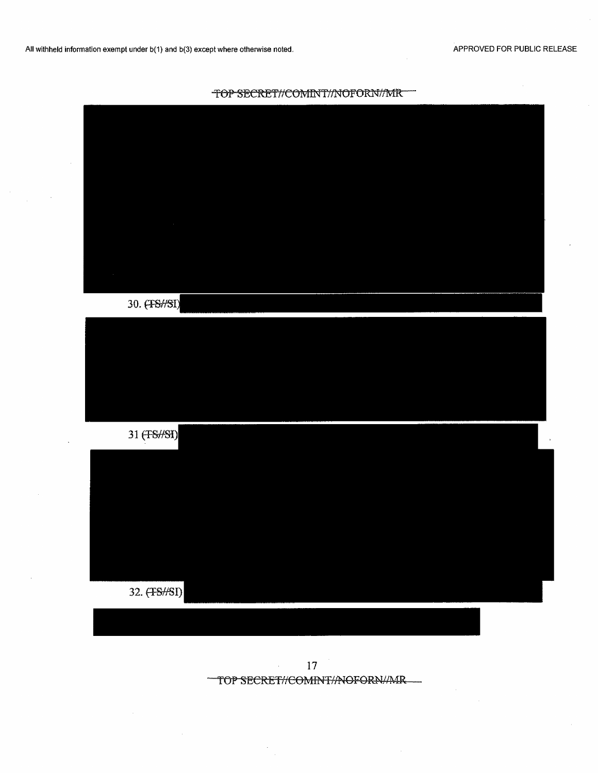

| $\alpha$     |  |  |  |
|--------------|--|--|--|
|              |  |  |  |
| $\sim$       |  |  |  |
| 30. (TS//SI) |  |  |  |
|              |  |  |  |
|              |  |  |  |
|              |  |  |  |
|              |  |  |  |
| 31 (FS//SI)  |  |  |  |
|              |  |  |  |
|              |  |  |  |
|              |  |  |  |
|              |  |  |  |
|              |  |  |  |
| 32. (FS//SI) |  |  |  |
|              |  |  |  |

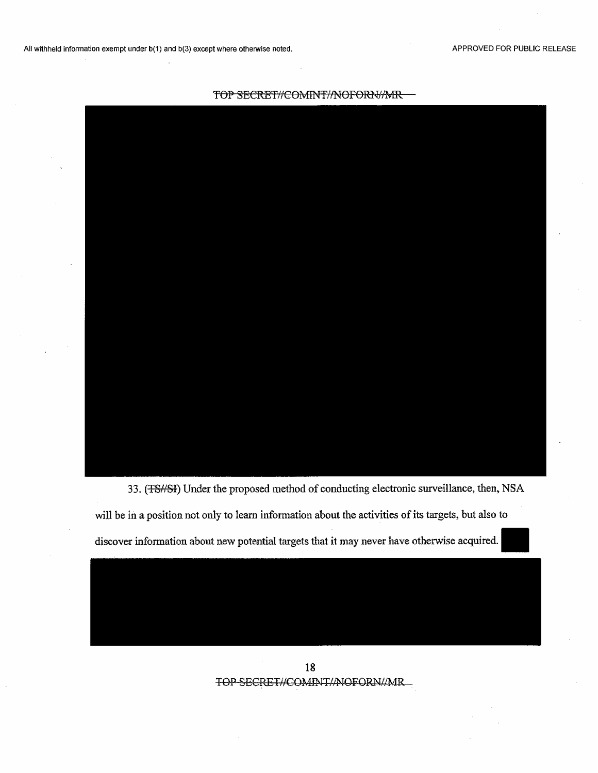

33. (TS/7SI) Under the proposed method of conducting electronic surveillance, then, NSA will be in a position not only to learn information about the activities of its targets, but also to

discover information about new potential targets that it may never have otherwise acquired.